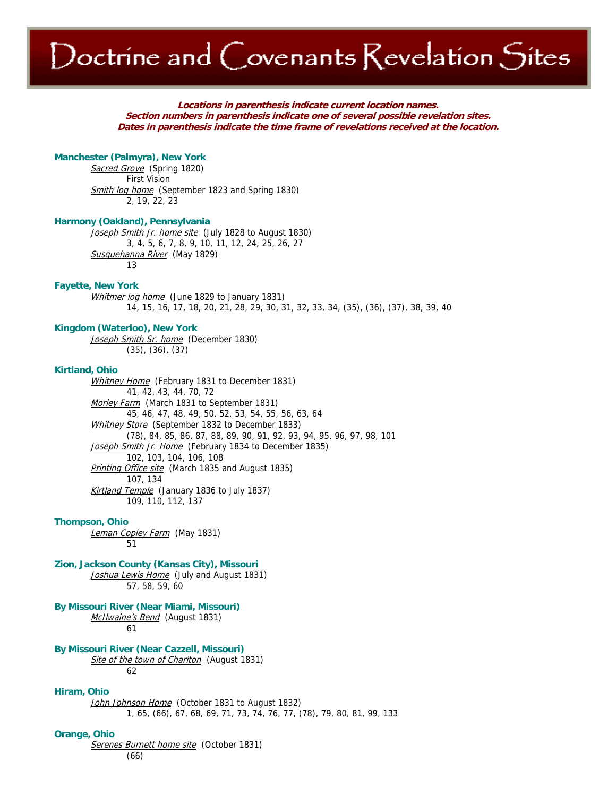# Doctrine and Covenants Revelation Sites  $\,$

**Locations in parenthesis indicate current location names. Section numbers in parenthesis indicate one of several possible revelation sites. Dates in parenthesis indicate the time frame of revelations received at the location.** 

# **Manchester (Palmyra), New York**

Sacred Grove (Spring 1820) First Vision Smith log home (September 1823 and Spring 1830) 2, 19, 22, 23

# **Harmony (Oakland), Pennsylvania**

Joseph Smith Jr. home site (July 1828 to August 1830) 3, 4, 5, 6, 7, 8, 9, 10, 11, 12, 24, 25, 26, 27 Susquehanna River (May 1829) 13

# **Fayette, New York**

Whitmer log home (June 1829 to January 1831) 14, 15, 16, 17, 18, 20, 21, 28, 29, 30, 31, 32, 33, 34, (35), (36), (37), 38, 39, 40

#### **Kingdom (Waterloo), New York**

Joseph Smith Sr. home (December 1830) (35), (36), (37)

# **Kirtland, Ohio**

Whitney Home (February 1831 to December 1831) 41, 42, 43, 44, 70, 72 Morley Farm (March 1831 to September 1831) 45, 46, 47, 48, 49, 50, 52, 53, 54, 55, 56, 63, 64 Whitney Store (September 1832 to December 1833) (78), 84, 85, 86, 87, 88, 89, 90, 91, 92, 93, 94, 95, 96, 97, 98, 101 Joseph Smith Jr. Home (February 1834 to December 1835) 102, 103, 104, 106, 108 Printing Office site (March 1835 and August 1835) 107, 134 Kirtland Temple (January 1836 to July 1837) 109, 110, 112, 137

#### **Thompson, Ohio**

Leman Copley Farm (May 1831) 51

#### **Zion, Jackson County (Kansas City), Missouri**

Joshua Lewis Home (July and August 1831) 57, 58, 59, 60

# **By Missouri River (Near Miami, Missouri)**

McIlwaine's Bend (August 1831) 61

# **By Missouri River (Near Cazzell, Missouri)**  Site of the town of Chariton (August 1831) 62

#### **Hiram, Ohio**

John Johnson Home (October 1831 to August 1832) 1, 65, (66), 67, 68, 69, 71, 73, 74, 76, 77, (78), 79, 80, 81, 99, 133

# **Orange, Ohio**

Serenes Burnett home site (October 1831) (66)